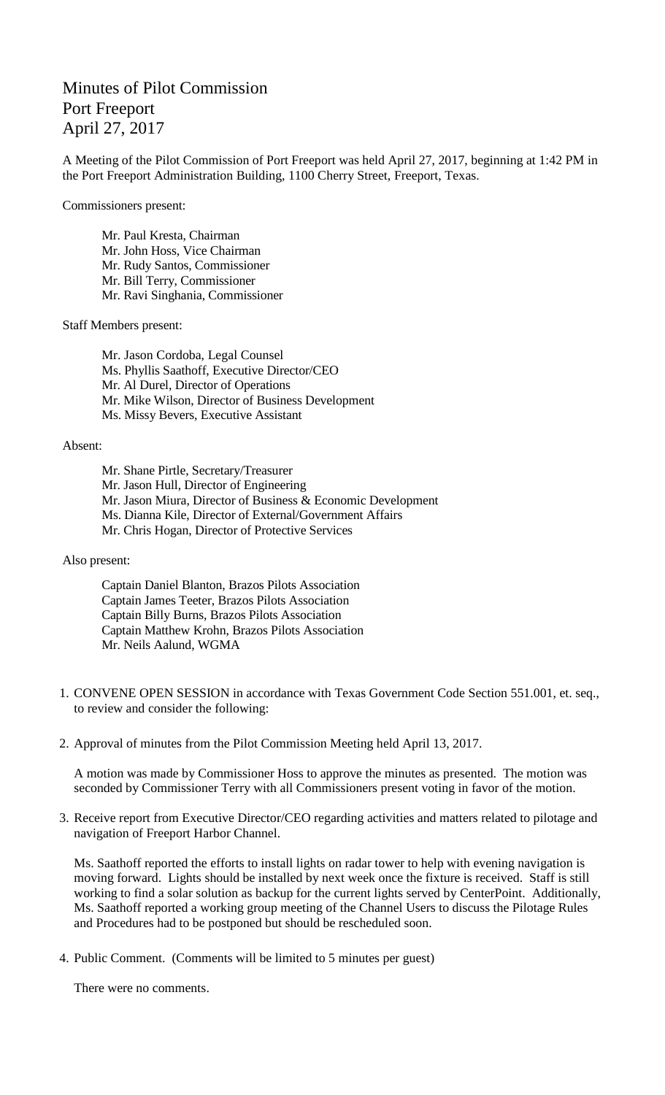## Minutes of Pilot Commission Port Freeport April 27, 2017

A Meeting of the Pilot Commission of Port Freeport was held April 27, 2017, beginning at 1:42 PM in the Port Freeport Administration Building, 1100 Cherry Street, Freeport, Texas.

Commissioners present:

Mr. Paul Kresta, Chairman Mr. John Hoss, Vice Chairman Mr. Rudy Santos, Commissioner Mr. Bill Terry, Commissioner Mr. Ravi Singhania, Commissioner

Staff Members present:

Mr. Jason Cordoba, Legal Counsel Ms. Phyllis Saathoff, Executive Director/CEO Mr. Al Durel, Director of Operations Mr. Mike Wilson, Director of Business Development Ms. Missy Bevers, Executive Assistant

Absent:

Mr. Shane Pirtle, Secretary/Treasurer Mr. Jason Hull, Director of Engineering Mr. Jason Miura, Director of Business & Economic Development Ms. Dianna Kile, Director of External/Government Affairs Mr. Chris Hogan, Director of Protective Services

Also present:

Captain Daniel Blanton, Brazos Pilots Association Captain James Teeter, Brazos Pilots Association Captain Billy Burns, Brazos Pilots Association Captain Matthew Krohn, Brazos Pilots Association Mr. Neils Aalund, WGMA

- 1. CONVENE OPEN SESSION in accordance with Texas Government Code Section 551.001, et. seq., to review and consider the following:
- 2. Approval of minutes from the Pilot Commission Meeting held April 13, 2017.

A motion was made by Commissioner Hoss to approve the minutes as presented. The motion was seconded by Commissioner Terry with all Commissioners present voting in favor of the motion.

3. Receive report from Executive Director/CEO regarding activities and matters related to pilotage and navigation of Freeport Harbor Channel.

Ms. Saathoff reported the efforts to install lights on radar tower to help with evening navigation is moving forward. Lights should be installed by next week once the fixture is received. Staff is still working to find a solar solution as backup for the current lights served by CenterPoint. Additionally, Ms. Saathoff reported a working group meeting of the Channel Users to discuss the Pilotage Rules and Procedures had to be postponed but should be rescheduled soon.

4. Public Comment. (Comments will be limited to 5 minutes per guest)

There were no comments.